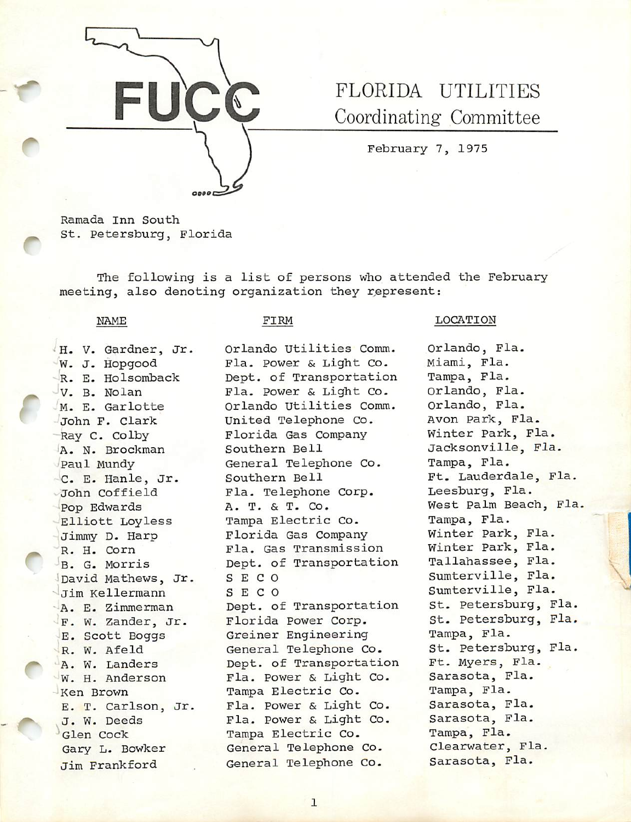

# FLORIDA UTILITIES Coordinating Committee

February 7, 1975

Ramada inn South St. Petersburg, Florida

The following is a list of persons who attended the February meeting, also denoting organization they represent:

NAME

#### FIRM

•H. V. Gardner, Jr. W. J. Hopgood R. E. Holsomback<br>V. B. Nolan M. E. Qarlotte -John F. Clark Ray C. Colby lA. N. Brockman Paul Mundy 0. E. Hanle, Jr. John Coffield •Pop Edwards Elliott Loyless Jimmy D. Harp — R. H. Corn B. G. Morris David Mathews, Jr. Jim Kellermann A. E. Zimmerman F. W. Zander, Jr. E. Scott Boggs R. W. Afeld A. W. Landers W. H. Anderson Ken Brown E. T. Carlson, Jr. J. W. Deeds Glen Cock Gary L. Bowker Jim Frankford

Orlando utilities Comm. Fla. Power & Light Co. Dept. of Transportation Fla. Power & Light Co. Orlando Utilities Comm. United Telephone Co. Florida Gas Company Southern Bell General Telephone Co. Southern Bell Fla. Telephone Corp. A. T. & T. Co. Tampa Electric Co. Florida Gas Company Fla. Gas Transmission Dept. of Transportation S E C 0 S E C O Dept. of Transportation Florida Power Corp. Greiner Engineering General Telephone Co. Dept. of Transportation Fla. Power & Light Co. Tampa Electric Co. Fla. Power & Light Co. Fla. Power & Light Co. Tampa Electric Co. General Telephone Co. General Telephone Co.

#### LOCATION

Orlando, Fla. Miami, Fla. Tampa, Fla. Orlando, Fla. Orlando, Fla. Avon Park, Fla. Winter Park, Fla. Jacksonville, Fla. Tampa, Fla. Ft. Lauderdale, Fla. Leesburg, Fla. West Palm Beach, Fla, Tampa, Fla. Winter Park, Fla. Winter Park, Fla. Tallahassee, Fla. Sumterville, Fla. Sumterville, Fla. St. Petersburg, Fla. St. Petersburg, Fla. Tampa, Fla. St. Petersburg, Fla. Ft. Myers, Fla. Sarasota, Fla. Tampa, Fla. Sarasota, Fla, Sarasota, Fla. Tampa, Fla. Clearwater, Fla. Sarasota, Fla.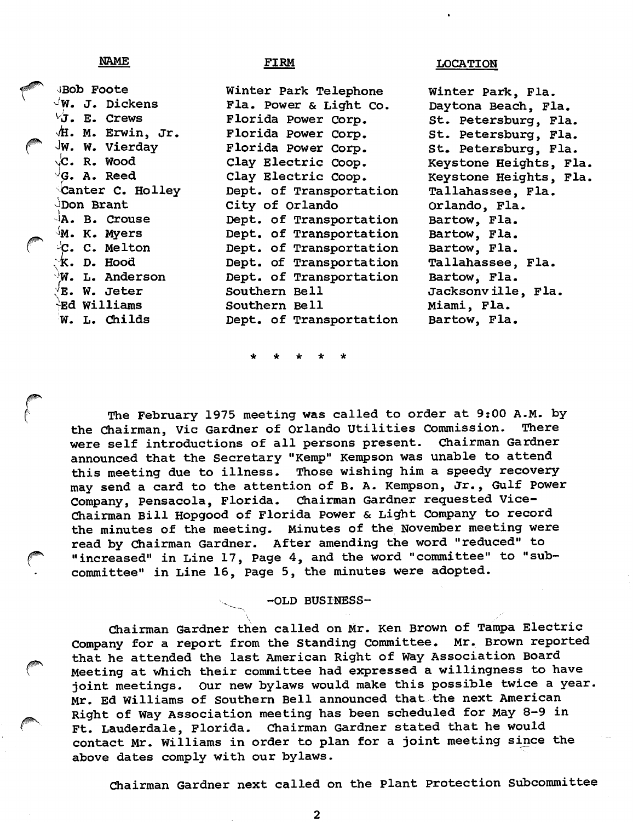NAME

## FIRM LOCATION

viBob Foote  $\sqrt{W}$ . J. Dickens  $\forall$ J. E. Crews M. Erwin, Jr. Jw. W. Vierday Jc. R. Wood  $\sqrt{G}$ . A. Reed Canter C. Holley JDon Brant -Ia. B. crouse  $^{\zeta}$ M. K. Myers -C. C. Melton  $K$ . D. Hood  $\sqrt{W}$ . L. Anderson  $^{\prime}$ E. W. Jeter -Ed Williams W. L. ChiIds Winter Park Telephone Fla. Power & Light Co. Florida Power corp. Florida Power Corp. Florida Power Corp. Clay Electric Coop. Clay Electric Coop. Dept. of Transportation City of Orlando Dept. of Transportation Dept. of Transportation Dept. of Transportation Dept. of Transportation Dept. of Transportation Southern Bell Southern Bell Dept. of Transportation Winter Park, Fla. Daytona Beach, Fla. St. Petersburg, Fla. St. Petersburg, Fla. St. Petersburg, Fla. Keystone Heights, Fla, Keystone Heights, Fla. Tallahassee, Fla. Orlando, Fla. Bartow, Fla. Bartow, Fla. Bartow, Fla. Tallahassee, Fla. Bartow, Fla. Jacksonville, Fla. Miami, Fla. Bartow, Fla.

The February 1975 meeting was called to order at 9:00 A.M. by<br>hairman, Vic Gardner of Orlando Utilities Commission. There the Chairman, Vic Gardner of Orlando Utilities Commission. There<br>were self introductions of all persons present. Chairman Gardner were self introductions of all persons present. announced that the Secretary "Kemp" Kempson was unable to attend this meeting due to illness. Those wishing him a speedy recovery may send a card to the attention of B. A. Kempson, Jr., Gulf Power Company, Pensacola, Florida. Chairman Gardner requested Vice-Chairman Bill Hopgood of Florida Power & Light Company to record the minutes of the meeting. Minutes of the November meeting were read by Chairman Gardner. After amending the word "reduced" to "increased" in Line 17, Page 4, and the word "committee" to "subcommittee" in Line 16, Page 5, the minutes were adopted.

# -OLD BUSINESS-

Chairman Gardner then called on Mr. Ken Brown of Tampa Electric Company for a report from the Standing Committee. Mr. Brown reported that he attended the last American Right of Way Association Board Meeting at which their committee had expressed a willingness to have joint meetings. Our new bylaws would make this possible twice a year. Mr. Ed Williams of Southern Bell announced that the next American Right of Way Association meeting has been scheduled for May 8-9 in Ft. Lauderdale, Florida. Chairman Gardner stated that he would contact Mr. Williams in order to plan for a joint meeting since the above dates comply with our bylaws.

Chairman Gardner next called on the Plant Protection Subcommittee

 $\mathbf{2}$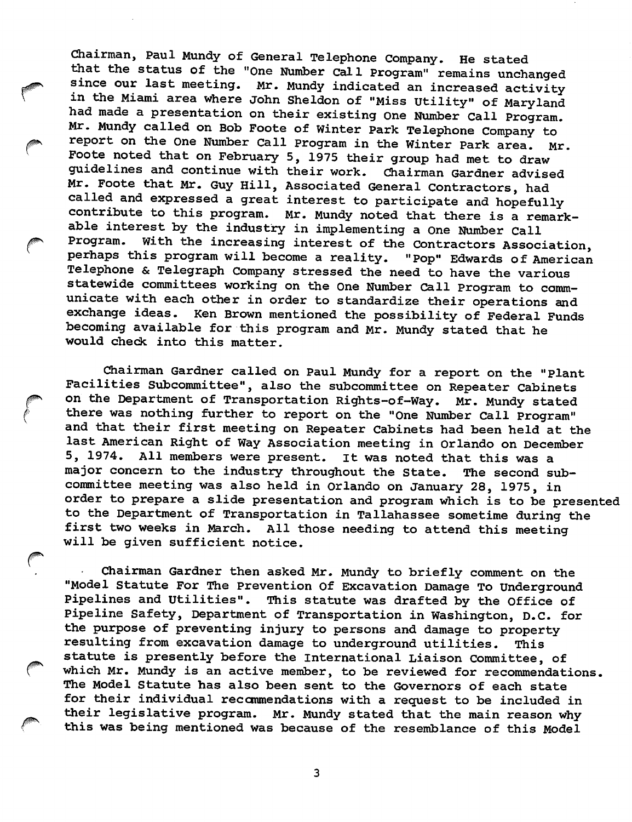Chairman, Paul Mundy of General Telephone Company. He stated that the status of the "One Number Call program" remains unchanged since our last meeting. Mr. Mundy indicated an increased activity in the Miami area where John Sheldon of "Miss Utility" of Maryland had made a presentation on their existing One Number Call Program. Mr. Mundy called on Bob Foote of Winter Park Telephone Company to\* report on the one Number Call Program in the Winter park area. Mr. Foote noted that on February 5, 1975 their group had met to draw guidelines and continue with their work. Chairman Gardner advised Mr. Foote that Mr. Guy Hill, Associated General Contractors, had called and expressed a great interest to participate and hopefully contribute to this program. Mr. Mundy noted that there is a remark able interest by the industry in implementing a One Number Call Program. With the increasing interest of the Contractors Association, perhaps this program will become a reality. "Pop" Edwards of American Telephone & Telegraph Company stressed the need to have the various statewide committees working on the One Number Call Program to comm unicate with each other in order to standardize their operations and<br>exchange ideas. Ken Brown mentioned the possibility of Federal Funds Ken Brown mentioned the possibility of Federal Funds becoming available for this program and Mr. Mundy stated that he would check into this matter.

Chairman Gardner called on Paul Mundy for a report on the "plant Facilities Subcommittee", also the subcommittee on Repeater Cabinets on the Department of Transportation Rights-of-Way. Mr. Mundy stated there was nothing further to report on the "One Number Call Program" and that their first meeting on Repeater Cabinets had been held at the last American Right of Way Association meeting in Orlando on December 5, 1974. All members were present, it was noted that this was a major concern to the industry throughout the State. The second sub committee meeting was also held in Orlando on January 28, 1975, in order to prepare a slide presentation and program which is to be presented to the Department of Transportation in Tallahassee sometime during the first two weeks in March. All those needing to attend this meeting will be given sufficient notice.

Chairman Gardner then asked Mr. Mundy to briefly comment on the "Model Statute For The Prevention Of Excavation Damage To Underground Pipelines and Utilities". This statute was drafted by the Office of Pipeline Safety, Department of Transportation in Washington, D.C. for the purpose of preventing injury to persons and damage to property resulting from excavation damage to underground utilities. This statute is presently before the International Liaison Committee, of which Mr. Mundy is an active member, to be reviewed for recommendations. The Model Statute has also been sent to the Governors of each state for their individual reccmmendations with a request to be included in their legislative program. Mr. Mundy stated that the main reason why this was being mentioned was because of the resemblance of this Model

 $\overline{3}$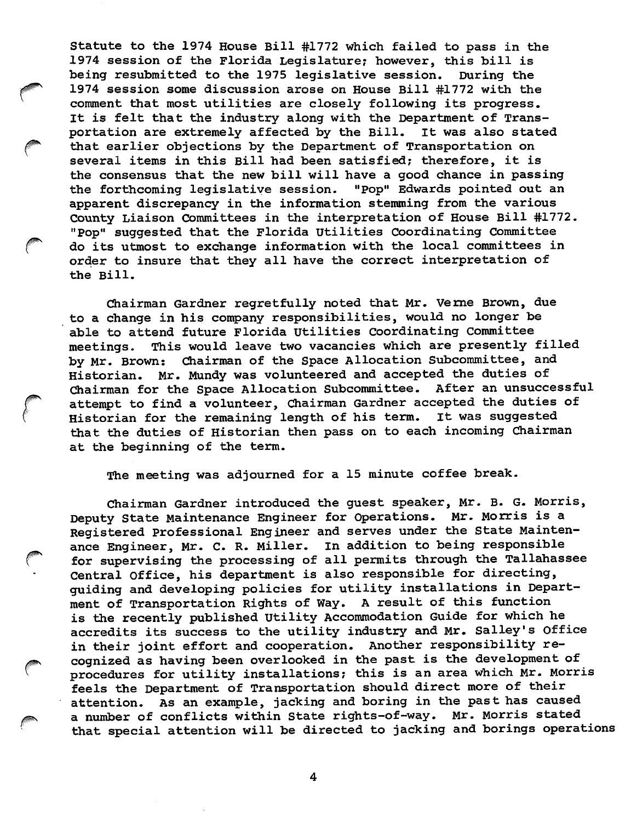statute to the 1974 House Bill #1772 which failed to pass in the 1974 session of the Florida Legislature; however, this bill is being resubmitted to the 1975 legislative session. During the 1974 session some discussion arose on House Bill #1772 with the comment that most utilities are closely following its progress. It is felt that the industry along with the Department of Trans portation are extremely affected by the Bill. It was also stated that earlier objections by the Department of Transportation on several items in this Bill had been satisfied; therefore, it is the consensus that the new bill will have a good chance in passing the forthcoming legislative session. "Pop" Edwards pointed out an apparent discrepancy in the information stemming from the various County Liaison Committees in the interpretation of House Bill #1772. "Pop" suggested that the Florida Utilities Coordinating Committee do its utmost to exchange information with the local committees in order to insure that they all have the correct interpretation of the Bill.

Chairman Gardner regretfully noted that Mr. Verne Brown, due to a change in his company responsibilities, would no longer be able to attend future Florida utilities Coordinating Committee meetings. This would leave two vacancies which are presently filled by Mr. Brown: Chairman of the Space Allocation Subcommittee, and Historian. Mr. Mundy was volunteered and accepted the duties of<br>Chairman for the Space Allocation Subcommittee. After an unsuccessful Chairman for the Space Allocation Subcommittee. attempt to find a volunteer, Chairman Gardner accepted the duties of<br>Historian for the remaining length of his term. It was suggested Historian for the remaining length of his term. that the duties of Historian then pass on to each incoming Chairman at the beginning of the term.

The meeting was adjourned for a 15 minute coffee break.

Chairman Gardner introduced the guest speaker, Mr. B. G. Morris, Deputy State Maintenance Engineer for Operations. Mr. Morris is a Registered Professional Engineer and serves under the State Mainten ance Engineer, Mr. C. R. Miller, in addition to being responsible for supervising the processing of all permits through the Tallahassee Central office, his department is also responsible for directing, guiding and developing policies for utility installations in Depart ment of Transportation Rights of Way. A result of this function is the recently published Utility Accommodation Guide for which he accredits its success to the utility industry and Mr. Salley's Office in their joint effort and cooperation. Another responsibility re cognized as having been overlooked in the past is the development of procedures for utility installations; this is an area which Mr. Morris feels the Department of Transportation should direct more of their attention. As an example, jacking and boring in the past has caused<br>a number of conflicts within State rights-of-way. Mr. Morris stated a number of conflicts within State rights-of-way. that special attention will be directed to jacking and borings operations

 $\overline{\mathbf{4}}$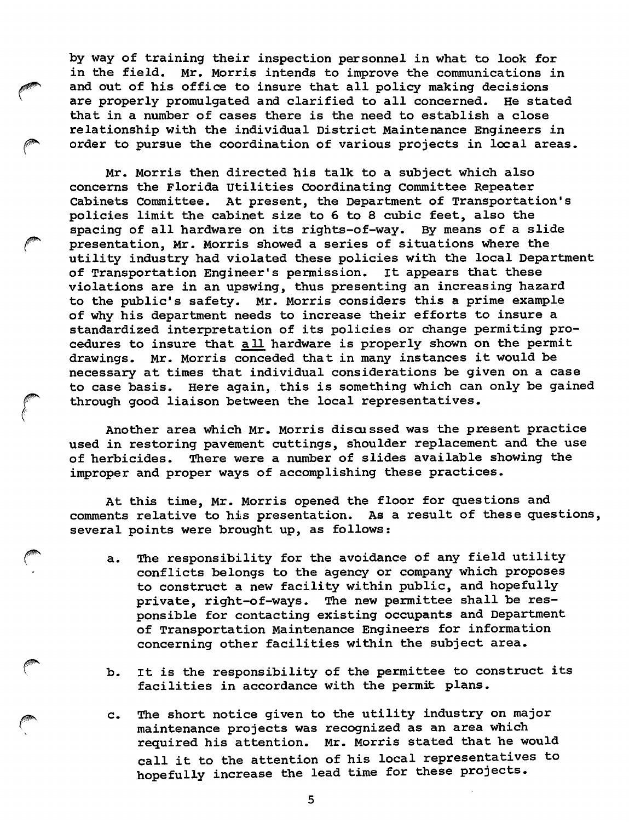by way of training their inspection personnel in what to look for in the field. Mr. Morris intends to improve the communications in and out of his office to insure that all policy making decisions are properly promulgated and clarified to all concerned. He stated that in a number of cases there is the need to establish a close relationship with the individual District Maintenance Engineers in order to pursue the coordination of various projects in local areas.

Mr. Morris then directed his talk to a subject which also concerns the Florida Utilities Coordinating Committee Repeater Cabinets Committee. At present, the Department of Transportation's policies limit the cabinet size to 6 to 8 cubic feet, also the spacing of all hardware on its rights-of-way. By means of a slide presentation, Mr. Morris showed a series of situations where the utility industry had violated these policies with the local Department of Transportation Engineer's permission. It appears that these violations are in an upswing, thus presenting an increasing hazard to the public's safety. Mr. Morris considers this a prime example of why his department needs to increase their efforts to insure a standardized interpretation of its policies or change permiting pro cedures to insure that a 11 hardware is properly shown on the permit drawings. Mr. Morris conceded that in many instances it would be necessary at times that individual considerations be given on a case to case basis. Here again, this is something which can only be gained through good liaison between the local representatives.

Another area which Mr. Morris discussed was the present practice used in restoring pavement cuttings, shoulder replacement and the use of herbicides. There were a number of slides available showing the improper and proper ways of accomplishing these practices.

At this time, Mr. Morris opened the floor for questions and comments relative to his presentation. As a result of these questions, several points were brought up, as follows;

- a. The responsibility for the avoidance of any field utility conflicts belongs to the agency or company which proposes to construct a new facility within public, and hopefully private, right-of-ways. The new permittee shall be res ponsible for contacting existing occupants and Department of Transportation Maintenance Engineers for information concerning other facilities within the subject area,
- b. It is the responsibility of the permittee to construct its facilities in accordance with the permit plans.
- c. The short notice given to the utility industry on major maintenance projects was recognized as an area which required his attention. Mr. Morris stated that he would call it to the attention of his local representatives to hopefully increase the lead time for these projects.

5